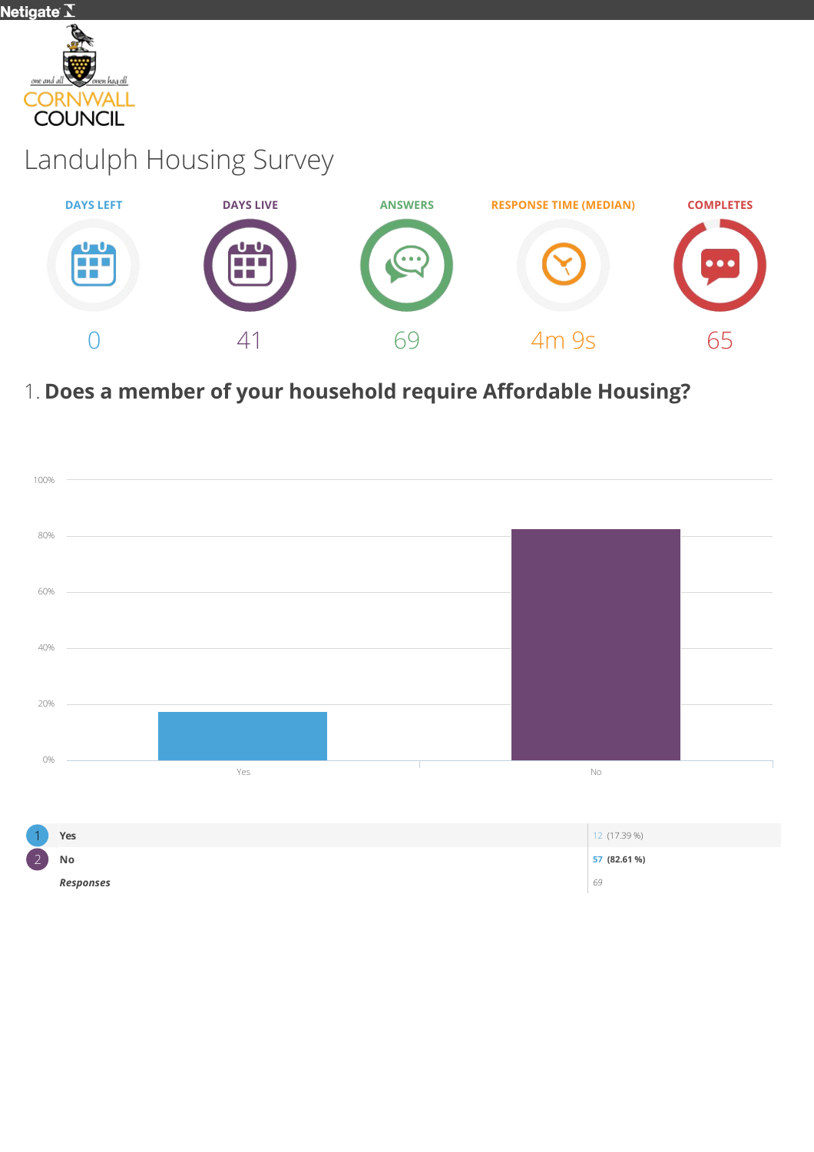

# Landulph Housing Survey



## 1. Does a member of your household require Affordable Housing?

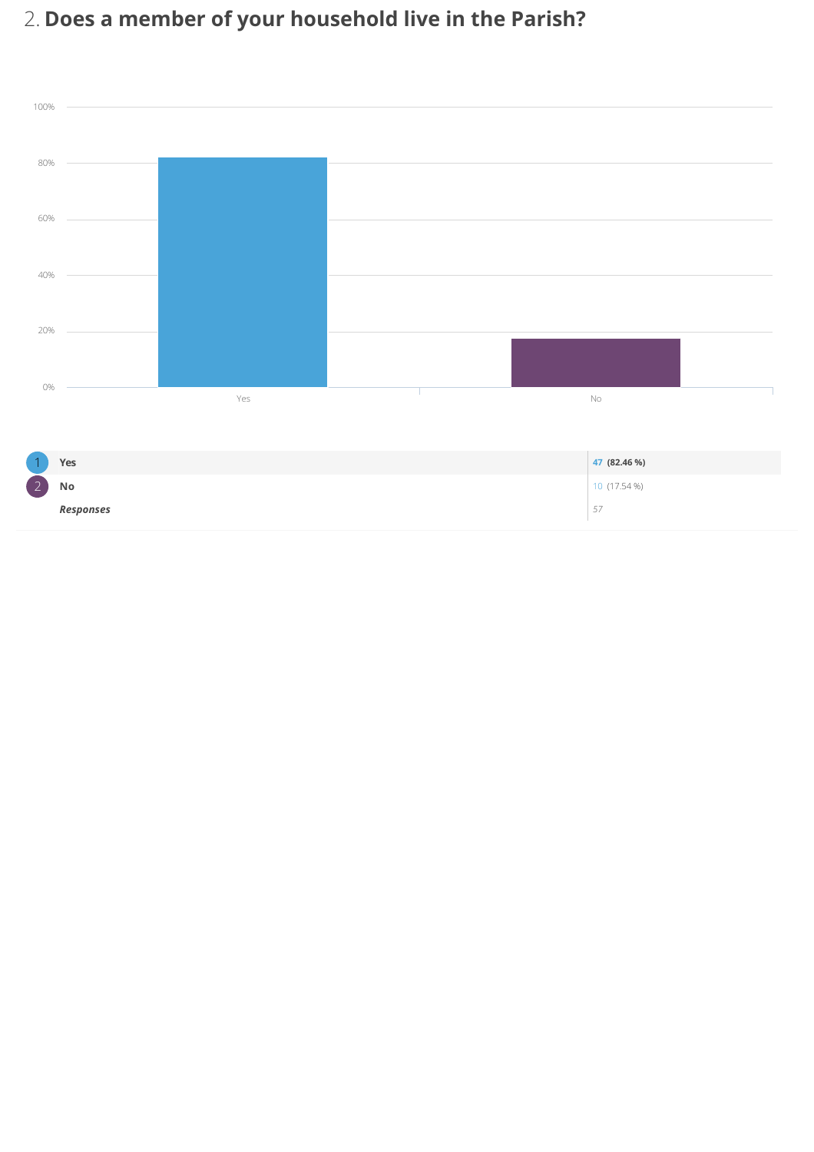# 2. Does a member of your household live in the Parish?



| $\overline{ }$     | Yes       | 47 (82.46 %)     |
|--------------------|-----------|------------------|
| $\sim$<br>$\angle$ | No        | 10 (17.54 %)     |
|                    | Responses | $-$<br>Е,<br>ر ب |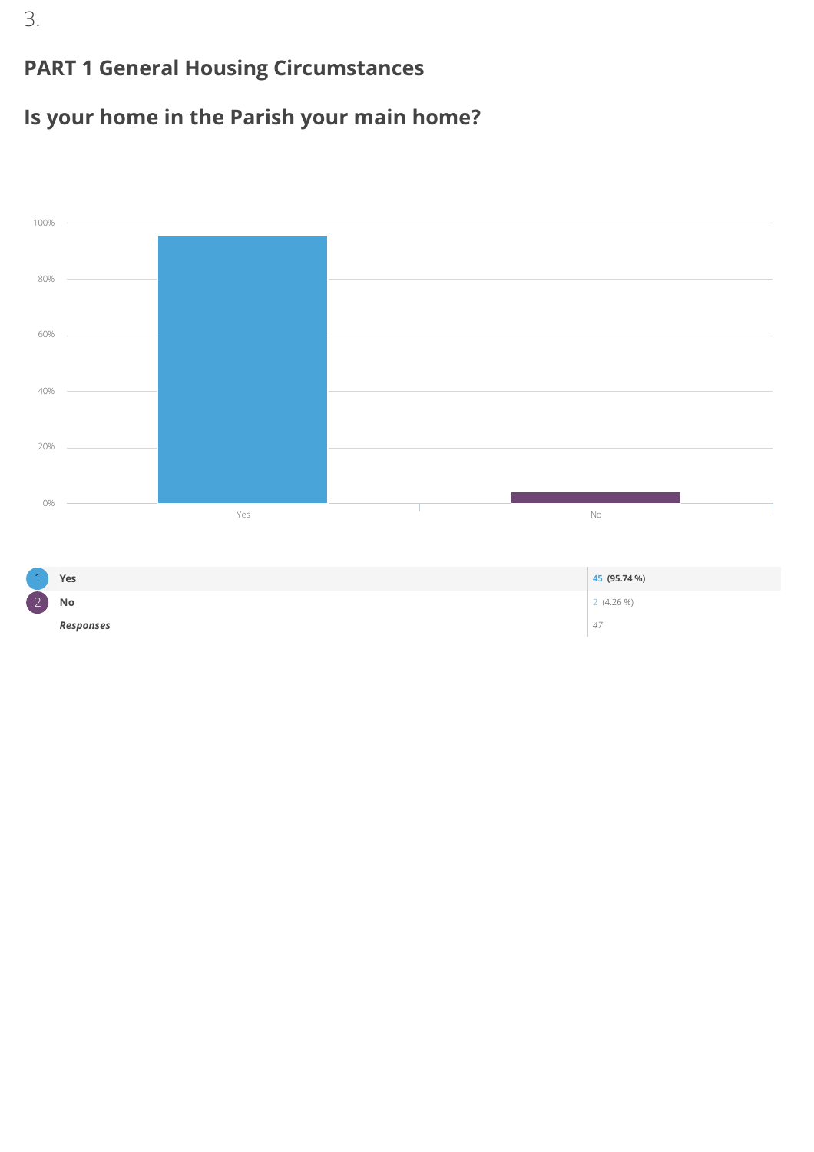#### PART 1 General Housing Circumstances

#### Is your home in the Parish your main home?



3.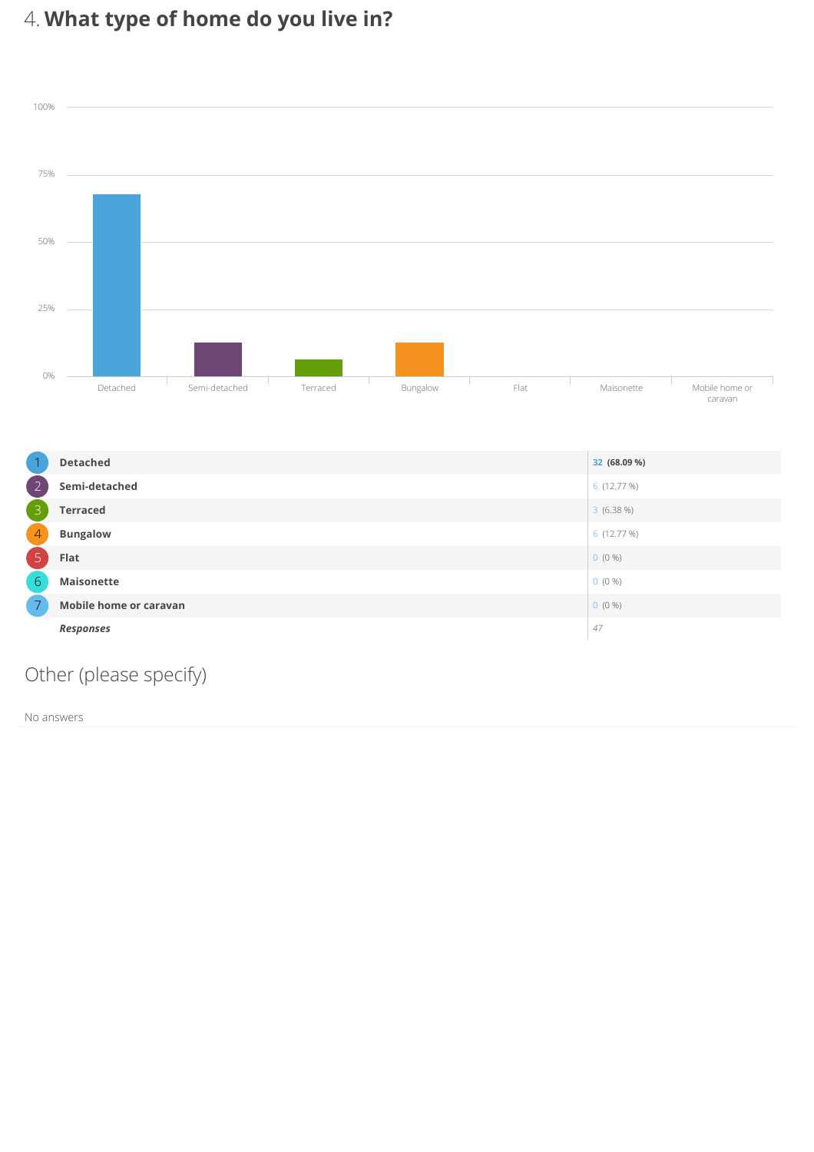# 4. What type of home do you live in?





#### Other (please specify)

No answers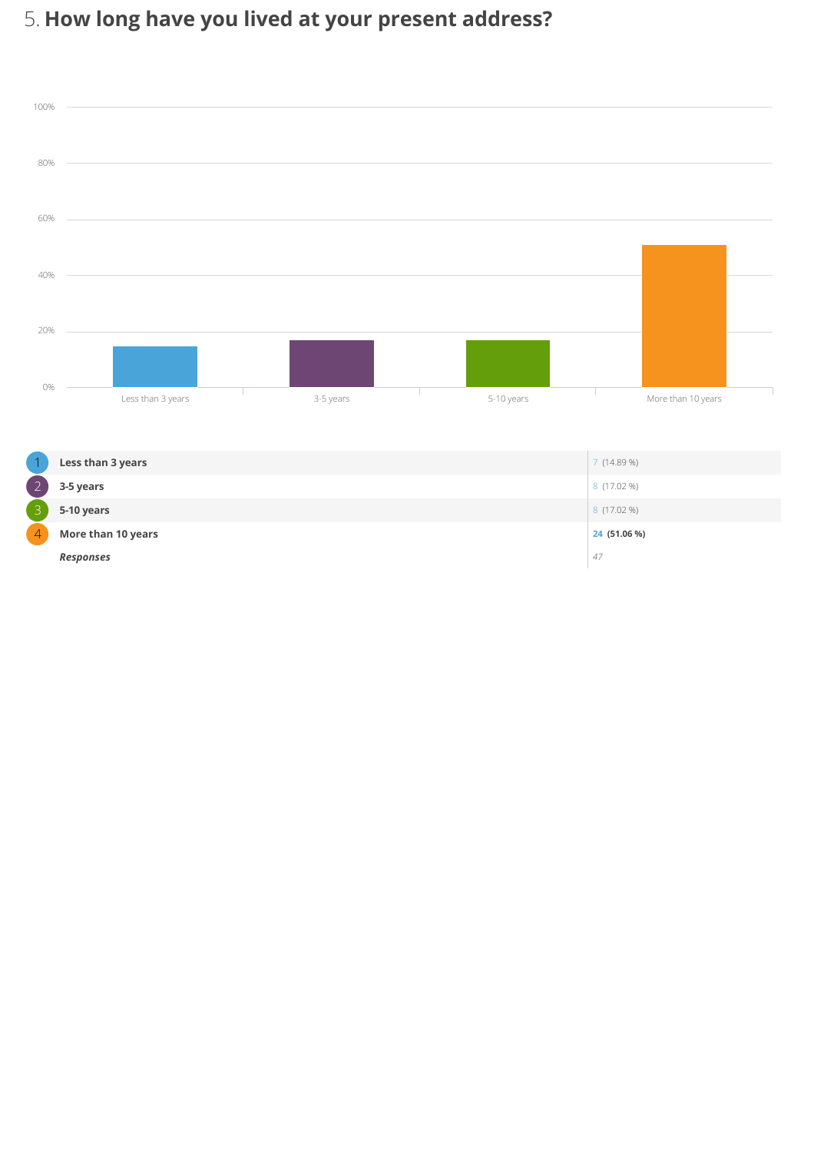# 5. How long have you lived at your present address?



|               | Less than 3 years  | 7(14.89%)    |
|---------------|--------------------|--------------|
| $\frac{1}{2}$ | 3-5 years          | 8 (17.02 %)  |
| 3             | 5-10 years         | 8 (17.02 %)  |
|               | More than 10 years | 24 (51.06 %) |
|               | <b>Responses</b>   | 47           |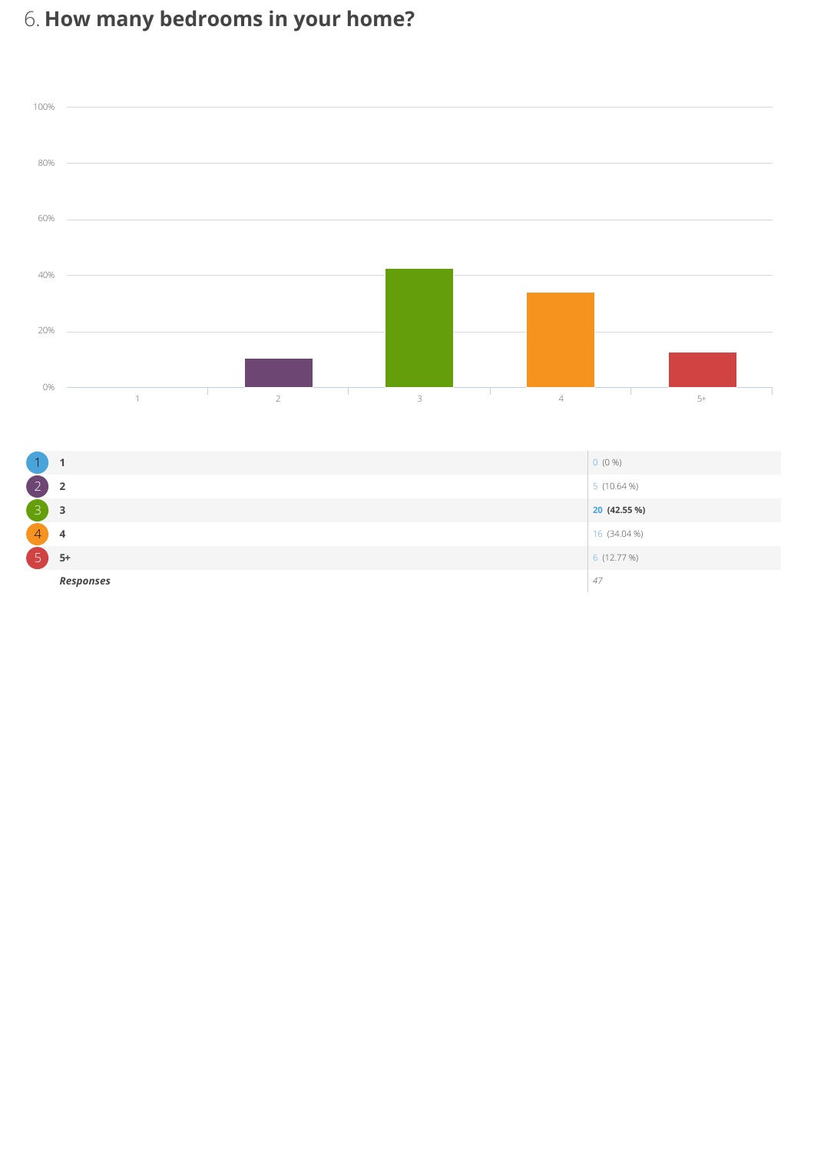# 6. How many bedrooms in your home?



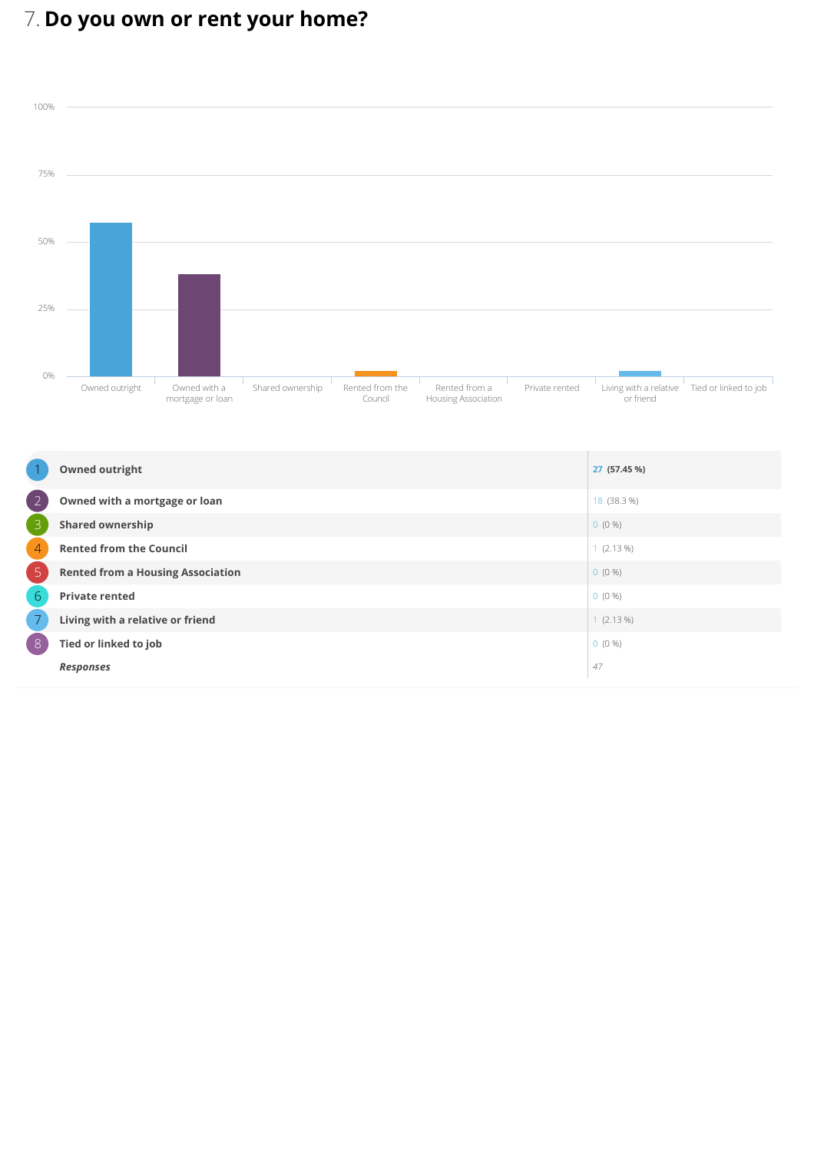# 7. Do you own or rent your home?



|                 | <b>Owned outright</b>                    | 27 (57.45 %) |
|-----------------|------------------------------------------|--------------|
| $\overline{2}$  | Owned with a mortgage or loan            | 18 (38.3 %)  |
| 3               | <b>Shared ownership</b>                  | $0(0\%)$     |
| $\overline{4}$  | <b>Rented from the Council</b>           | 1(2.13%)     |
| 5               | <b>Rented from a Housing Association</b> | $0(0\%)$     |
| $6\phantom{1}6$ | <b>Private rented</b>                    | $0(0\%)$     |
| $\overline{7}$  | Living with a relative or friend         | 1(2.13%)     |
| $\overline{8}$  | Tied or linked to job                    | $0(0\%)$     |
|                 | <b>Responses</b>                         | 47           |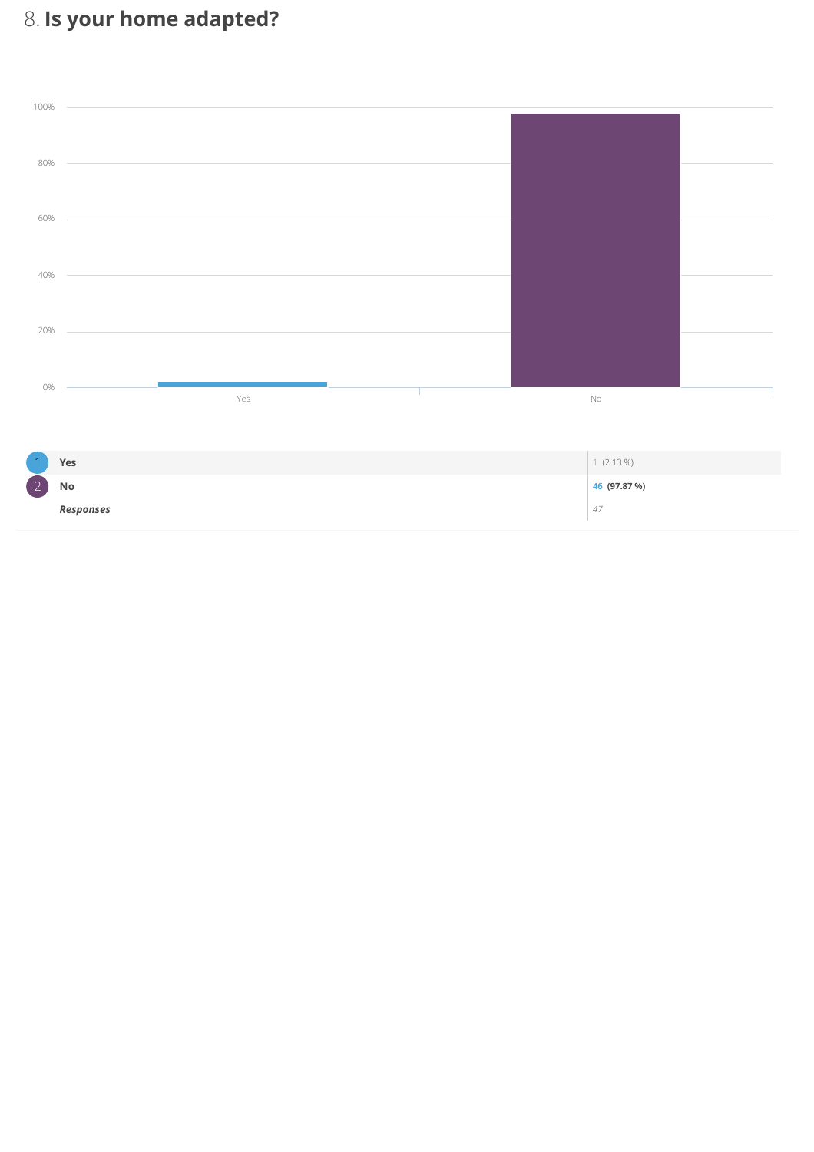# 8. Is your home adapted?



|                    | Yes              | $(2.13\%)$   |
|--------------------|------------------|--------------|
| $\sim$<br>$\angle$ | No               | 46 (97.87 %) |
|                    | <b>Responses</b> | 47           |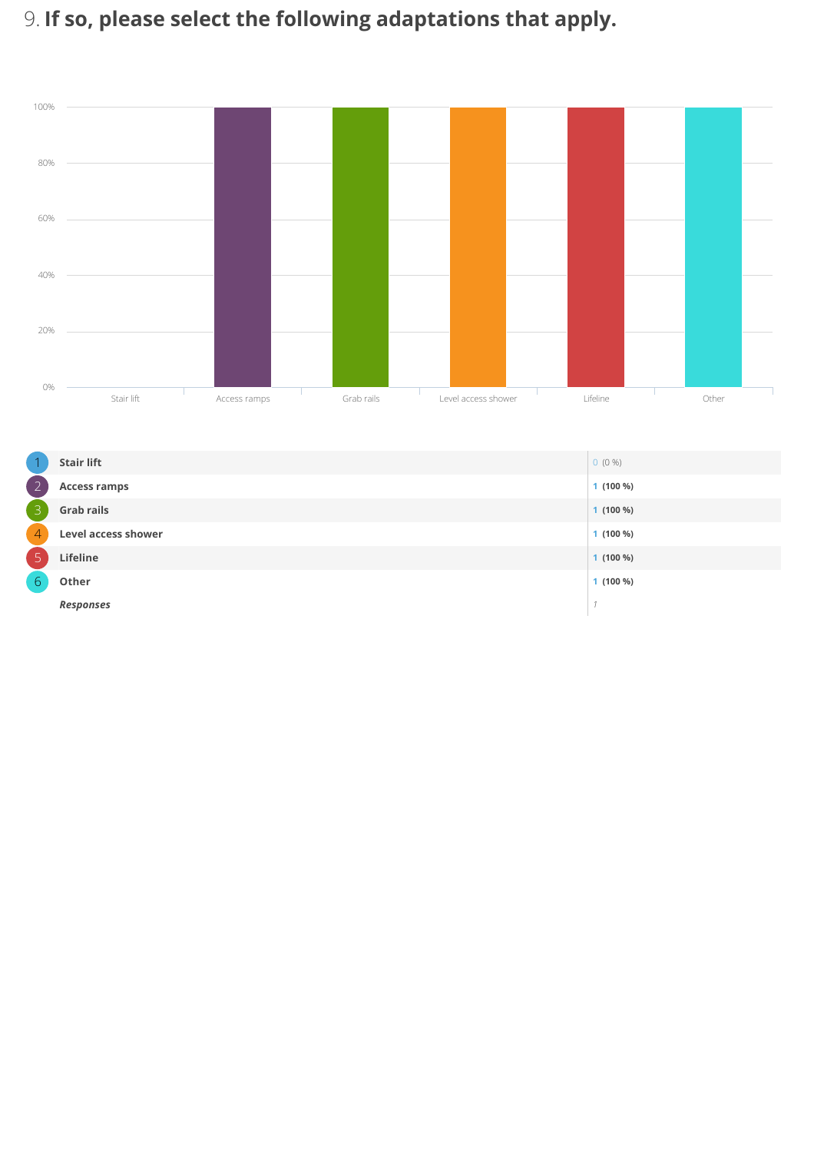# 9. If so, please select the following adaptations that apply.



|                | <b>Stair lift</b>          | $0(0\%)$   |
|----------------|----------------------------|------------|
| $\overline{2}$ | <b>Access ramps</b>        | $1(100\%)$ |
| $\overline{3}$ | <b>Grab rails</b>          | $1(100\%)$ |
| $\overline{4}$ | <b>Level access shower</b> | $1(100\%)$ |
| $\overline{5}$ | Lifeline                   | $1(100\%)$ |
| 6 <sub>1</sub> | Other                      | $1(100\%)$ |
|                | <b>Responses</b>           |            |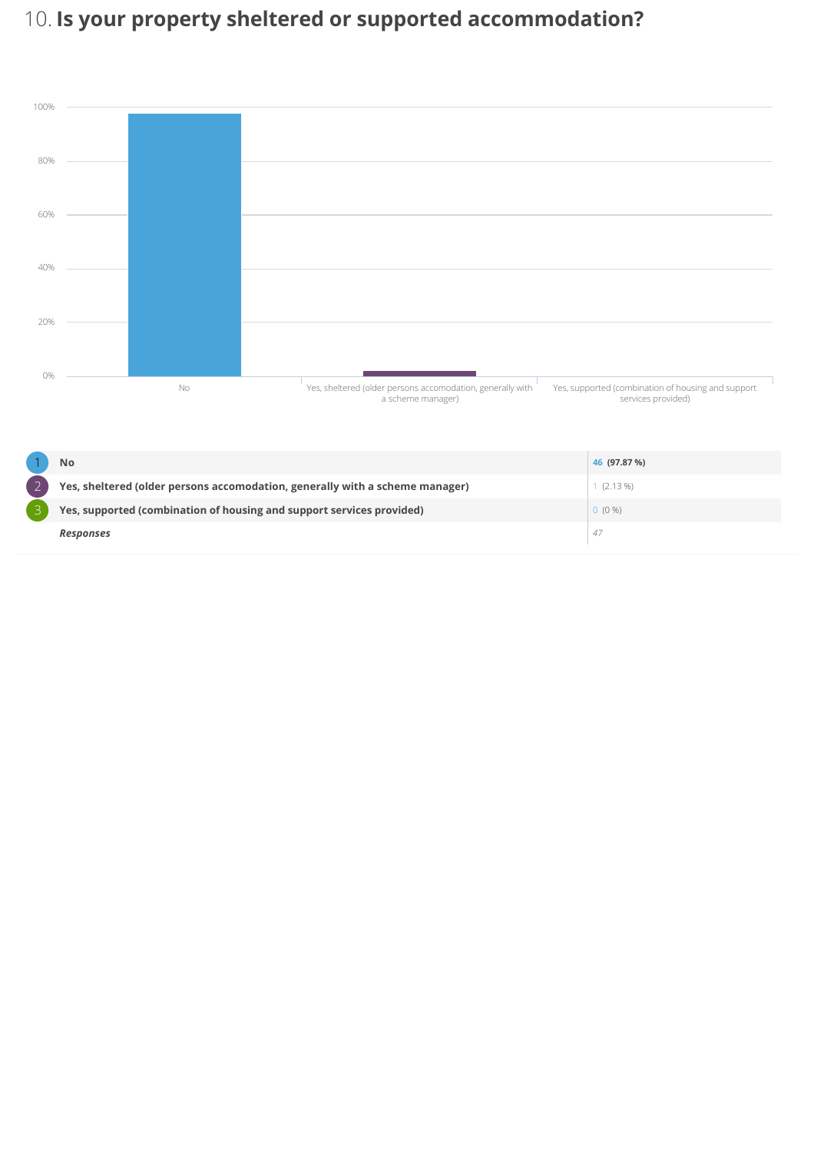# 10. Is your property sheltered or supported accommodation?



| No                                                                           | 46 (97.87 %) |
|------------------------------------------------------------------------------|--------------|
| Yes, sheltered (older persons accomodation, generally with a scheme manager) | $1(2.13\%)$  |
| Yes, supported (combination of housing and support services provided)        | $0(0\%)$     |
| <b>Responses</b>                                                             | 47           |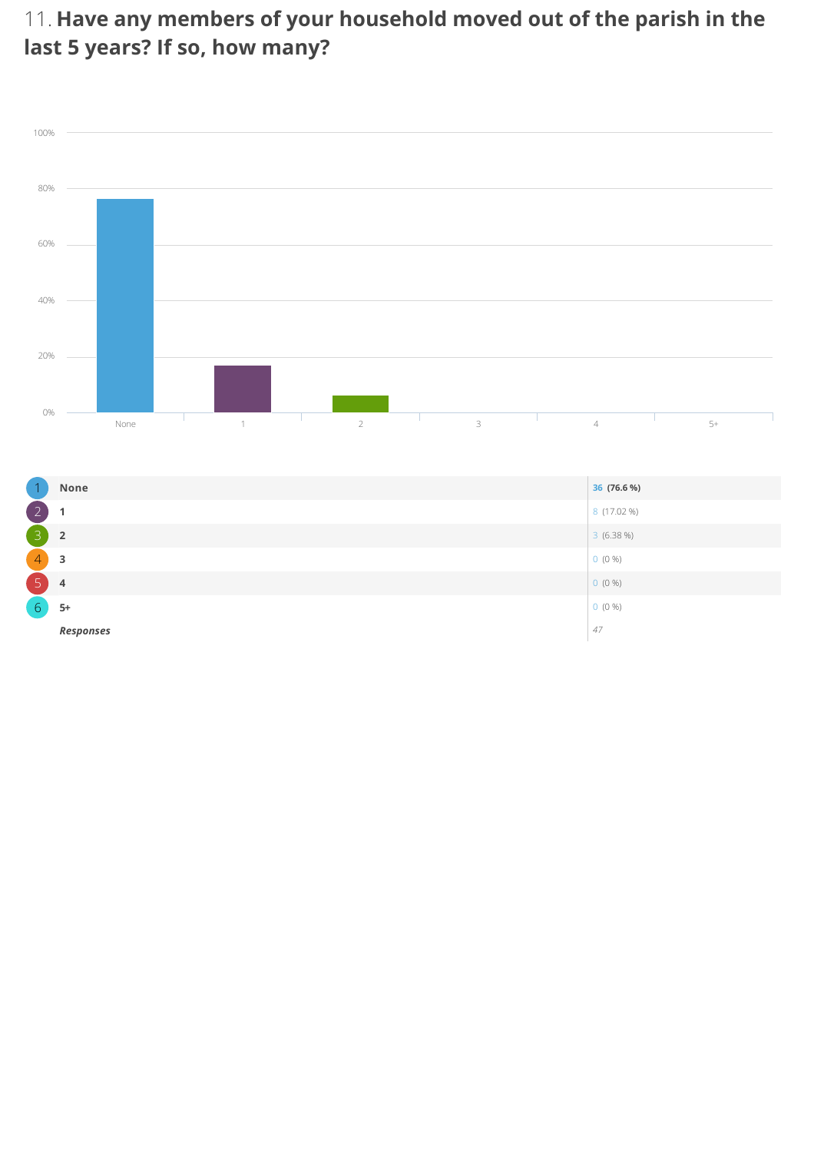11. Have any members of your household moved out of the parish in the last 5 years? If so, how many?



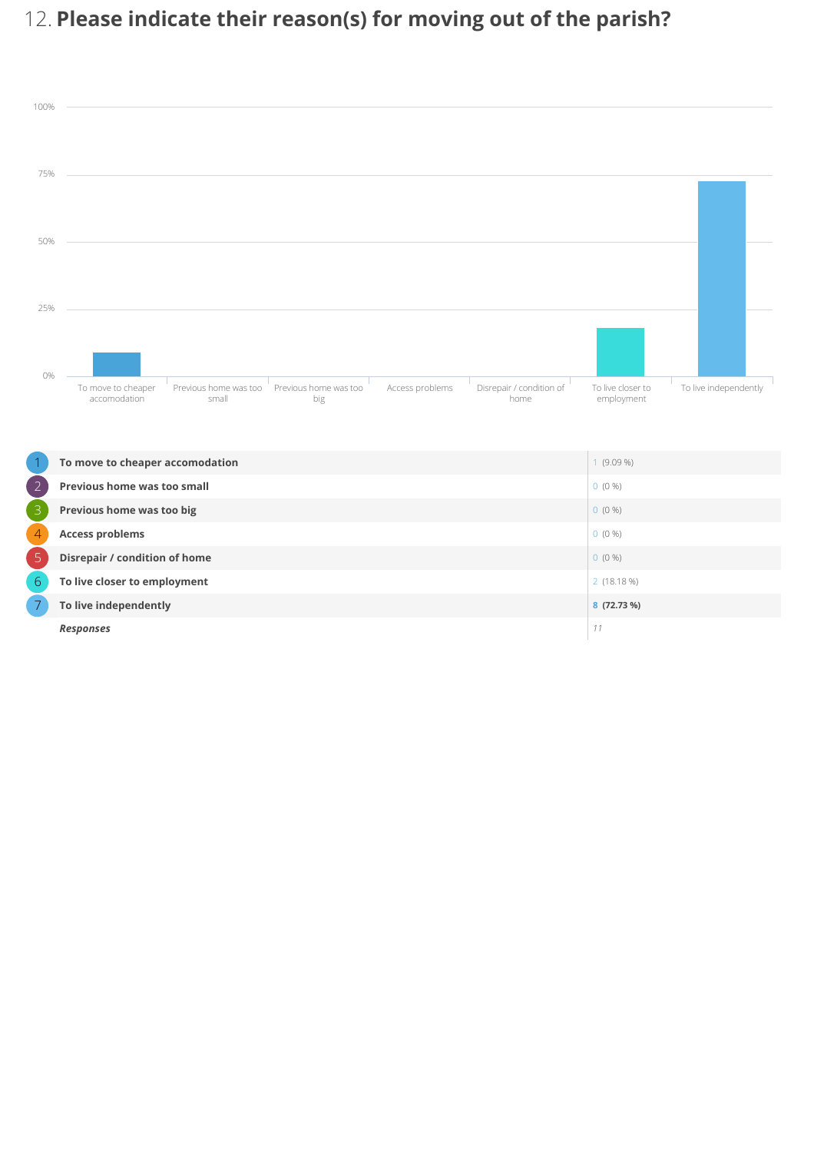# 12. Please indicate their reason(s) for moving out of the parish?



| $\overline{2}$ | <b>Previous home was too small</b> | $0(0\%)$    |
|----------------|------------------------------------|-------------|
| 3              | Previous home was too big          | $0(0\%)$    |
| $\overline{4}$ | <b>Access problems</b>             | $0(0\%)$    |
| $\overline{5}$ | Disrepair / condition of home      | $0(0\%)$    |
| 6              | To live closer to employment       | 2(18.18%)   |
|                | To live independently              | 8 (72.73 %) |
|                | <b>Responses</b>                   | 11          |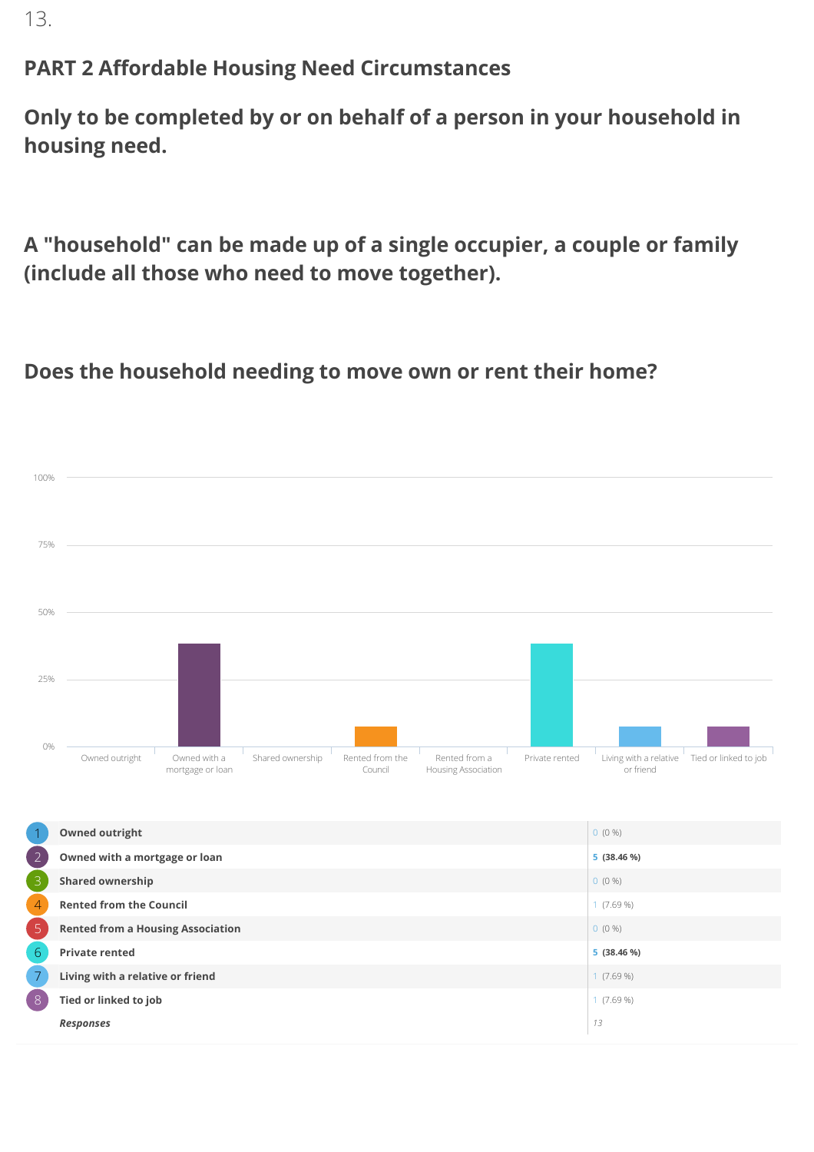13.

#### PART 2 Affordable Housing Need Circumstances

Only to be completed by or on behalf of a person in your household in housing need.

A "household" can be made up of a single occupier, a couple or family (include all those who need to move together).

#### Does the household needing to move own or rent their home?



**Responses**  $\begin{bmatrix} 13 \end{bmatrix}$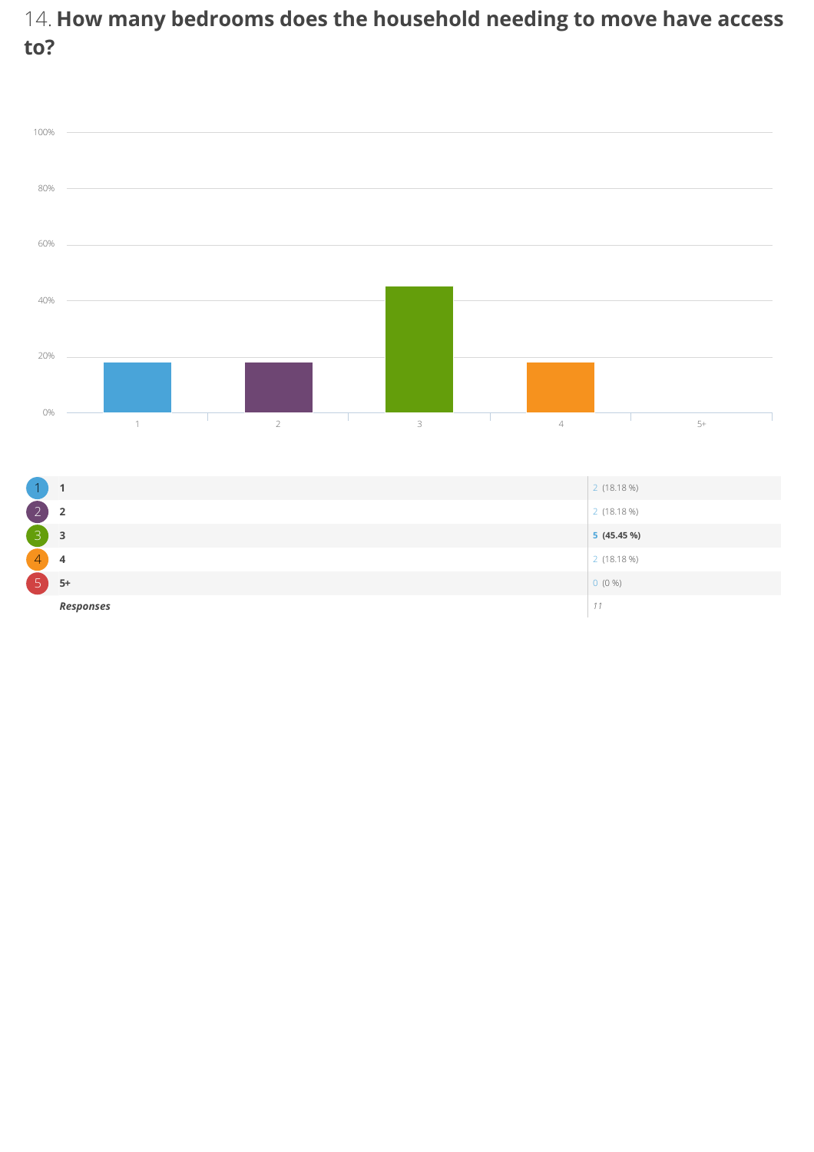## 14. How many bedrooms does the household needing to move have access to?

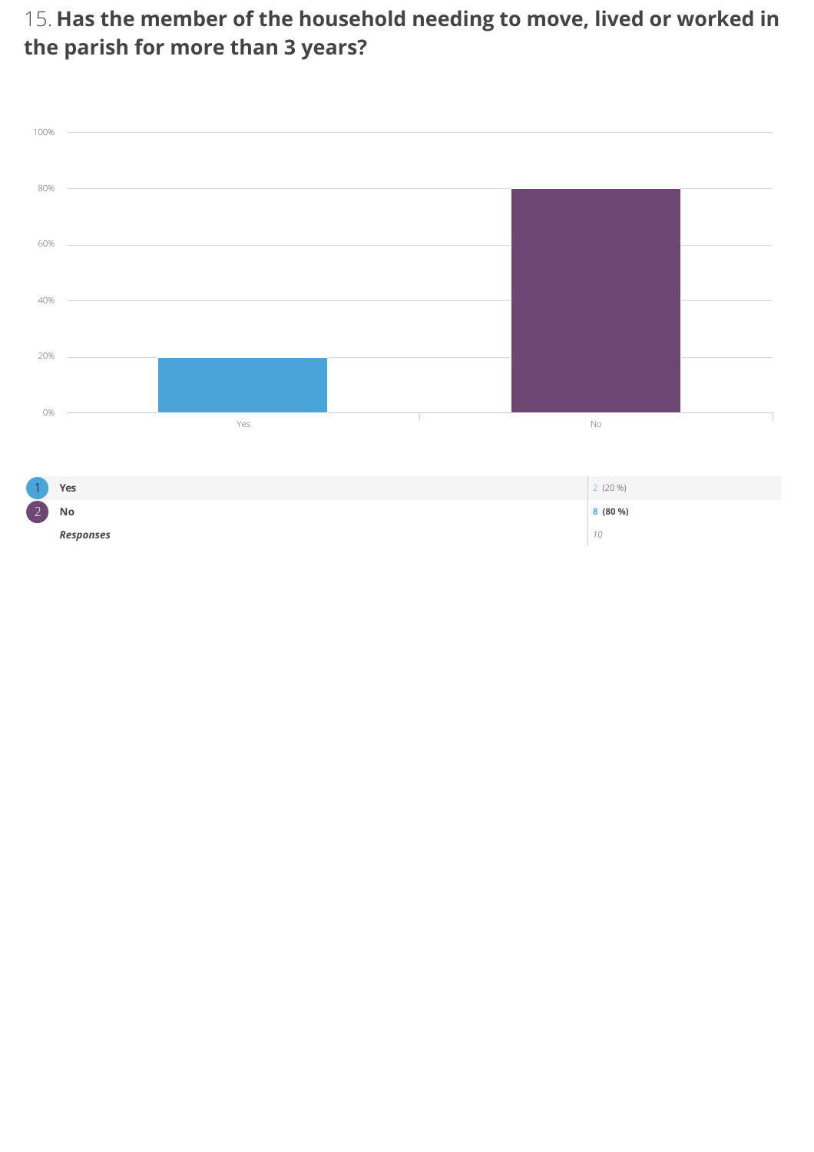15. Has the member of the household needing to move, lived or worked in the parish for more than 3 years?



|                        | Yes              | $2(20\%)$ |
|------------------------|------------------|-----------|
| $\sim$<br>$\mathbb{Z}$ | No               | 8(80%)    |
|                        | <b>Responses</b> | 10        |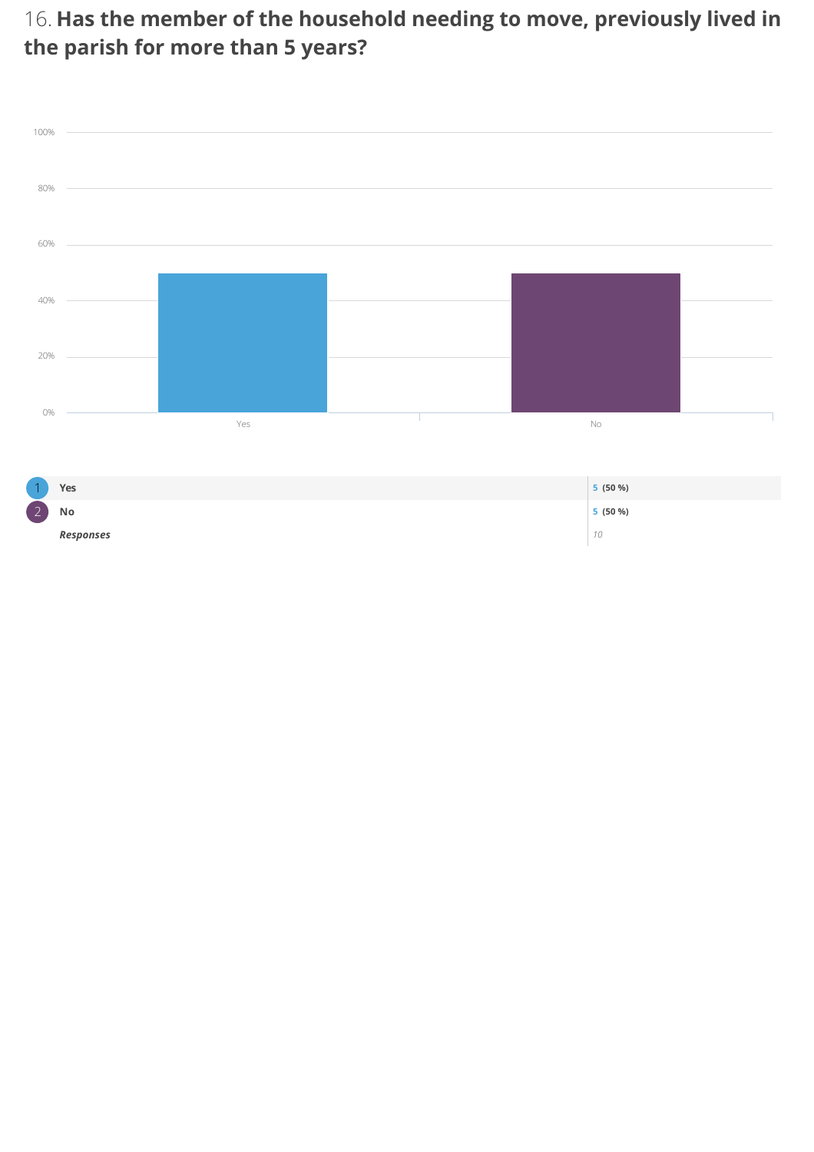16. Has the member of the household needing to move, previously lived in the parish for more than 5 years?



|               | Yes              | 5 (50 %) |
|---------------|------------------|----------|
| $\sim$<br>12, | No               | 5 (50 %) |
|               | <b>Responses</b> | 10       |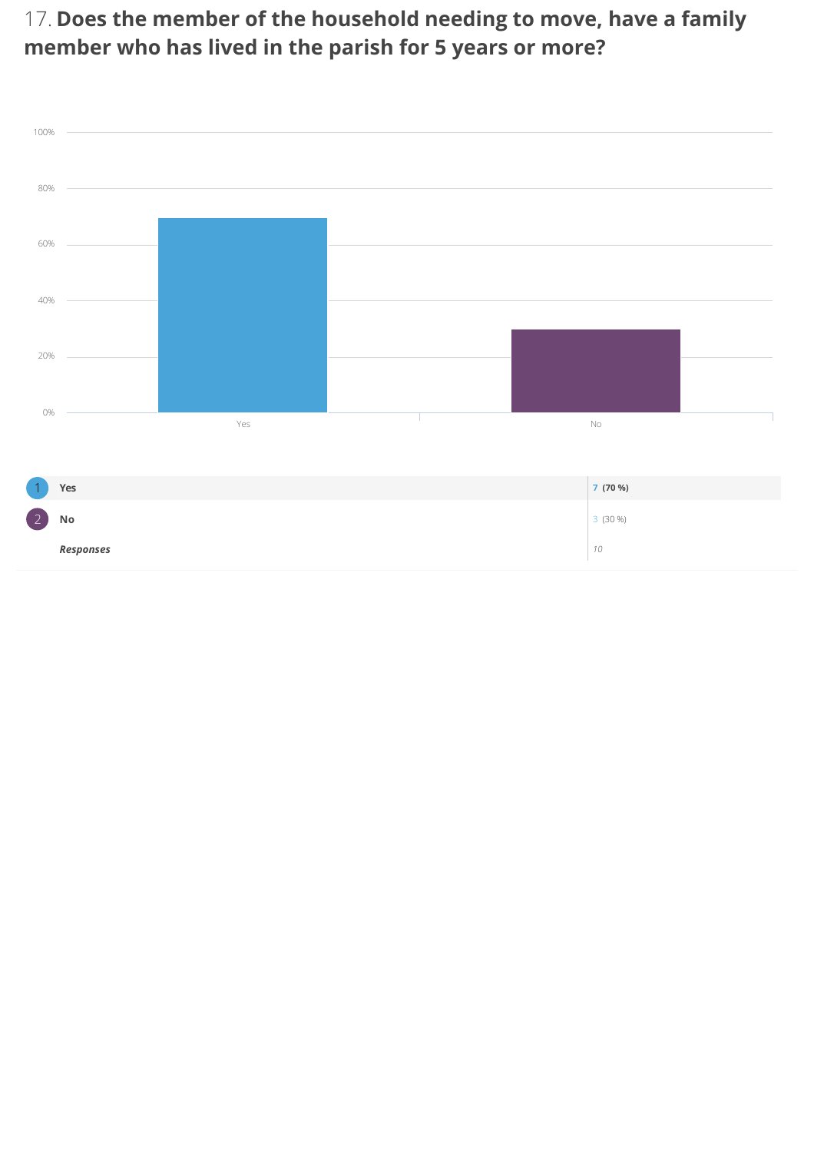17. Does the member of the household needing to move, have a family member who has lived in the parish for 5 years or more?



| $\overline{1}$                       | Yes       | 7 (70 %)  |
|--------------------------------------|-----------|-----------|
| $\begin{pmatrix} 2 \end{pmatrix}$ No |           | $3(30\%)$ |
|                                      | Responses | 10        |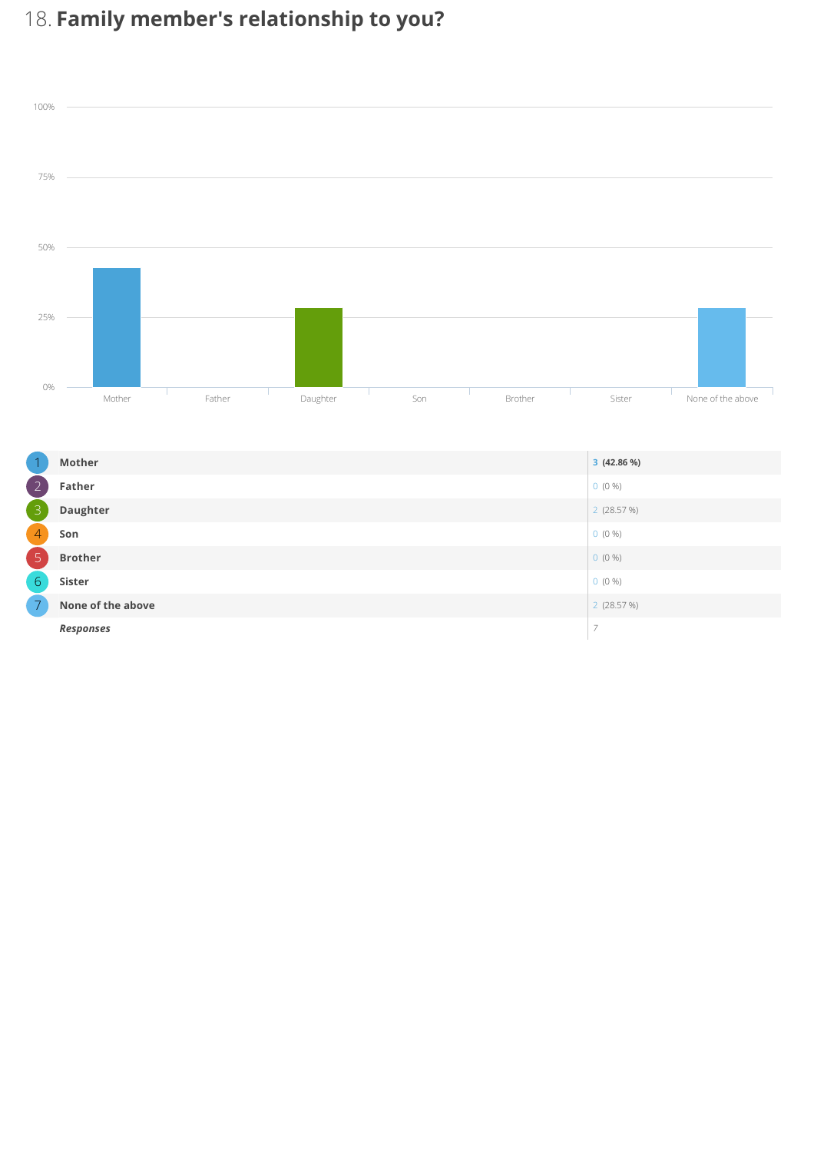# 18. Family member's relationship to you?



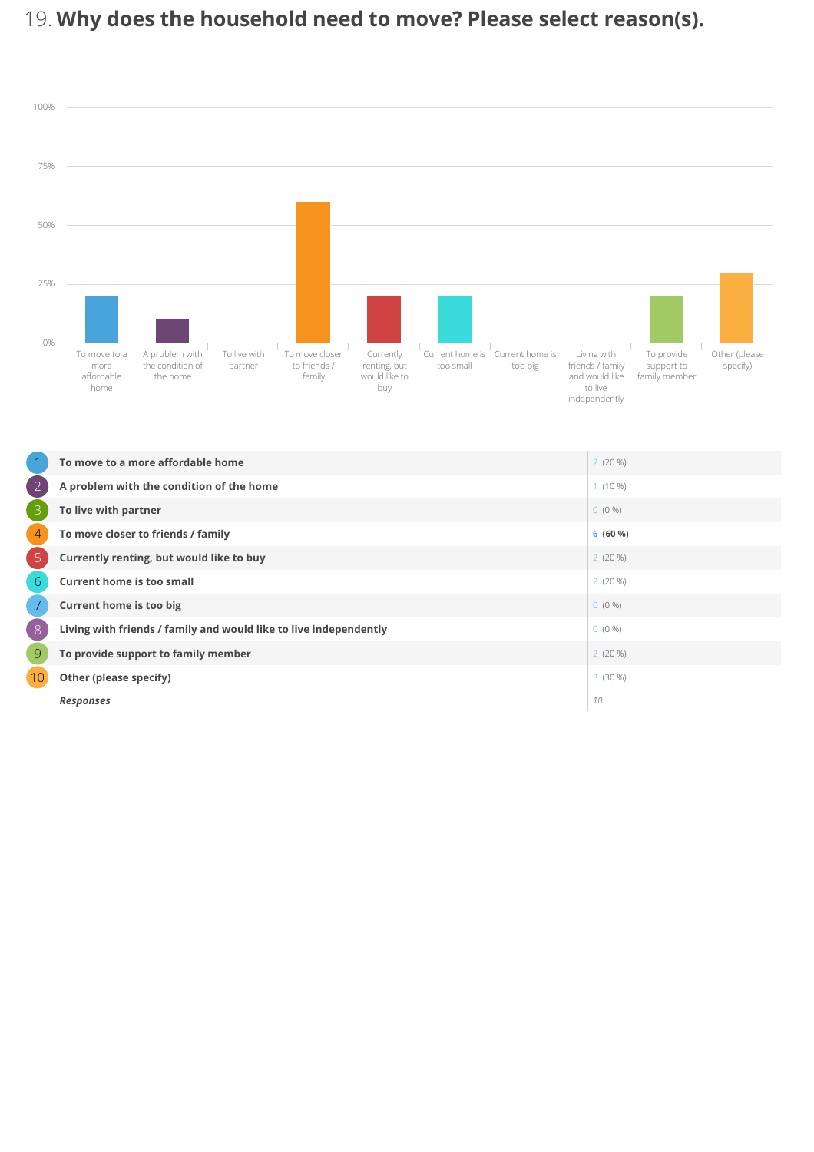# 19. Why does the household need to move? Please select reason(s).



|                 | To move to a more affordable home                                 | 2(20%)    |
|-----------------|-------------------------------------------------------------------|-----------|
| $\overline{2}$  | A problem with the condition of the home                          | $1(10\%)$ |
| 3               | To live with partner                                              | $0(0\%)$  |
| $\overline{4}$  | To move closer to friends / family                                | 6(60%)    |
| 5               | Currently renting, but would like to buy                          | 2(20%)    |
| $6\phantom{1}6$ | <b>Current home is too small</b>                                  | 2(20%)    |
| $\overline{7}$  | <b>Current home is too big</b>                                    | $0(0\%)$  |
| 8               | Living with friends / family and would like to live independently | $0(0\%)$  |
| $\overline{9}$  | To provide support to family member                               | 2(20%)    |
| 10 <sub>1</sub> | Other (please specify)                                            | 3(30%)    |
|                 | <b>Responses</b>                                                  | 10        |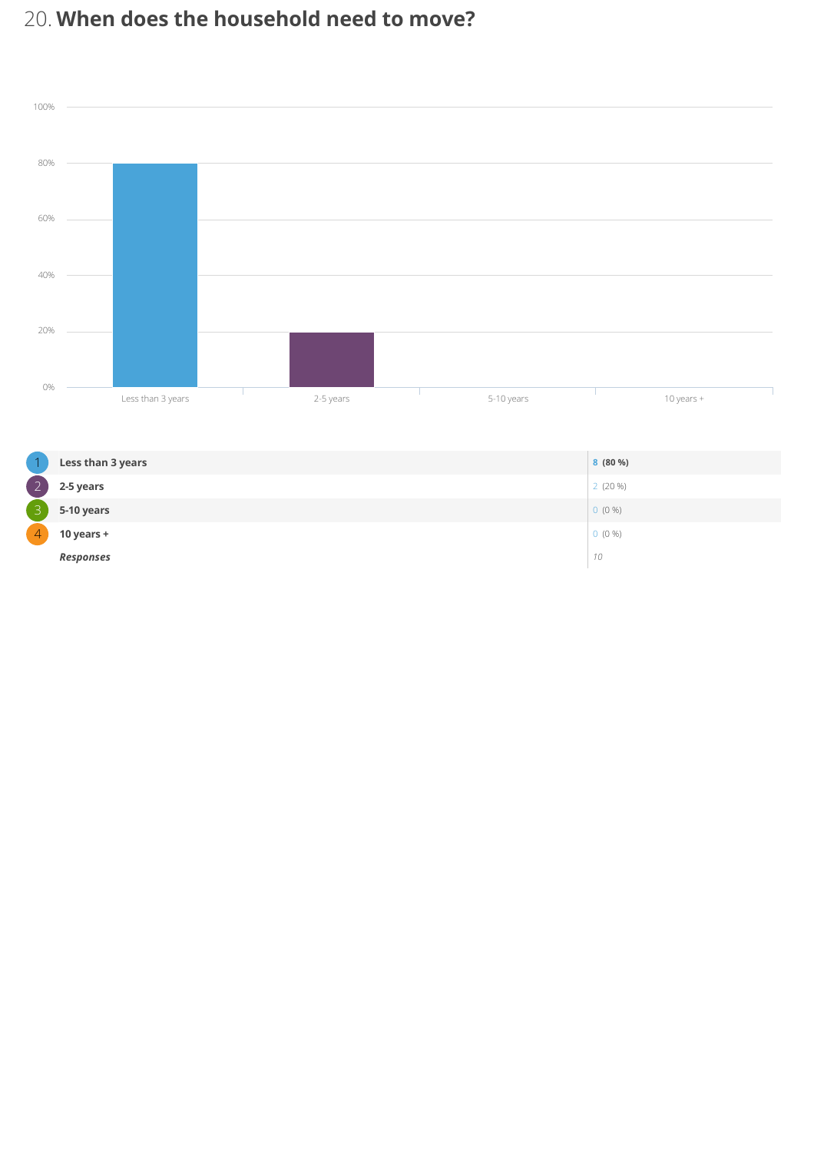## 20. When does the household need to move?



|                | Less than 3 years | 8(80%)    |
|----------------|-------------------|-----------|
| $\overline{2}$ | 2-5 years         | $2(20\%)$ |
| 3              | 5-10 years        | $0(0\%)$  |
| $\overline{4}$ | 10 years $+$      | $0(0\%)$  |
|                | <b>Responses</b>  | 10        |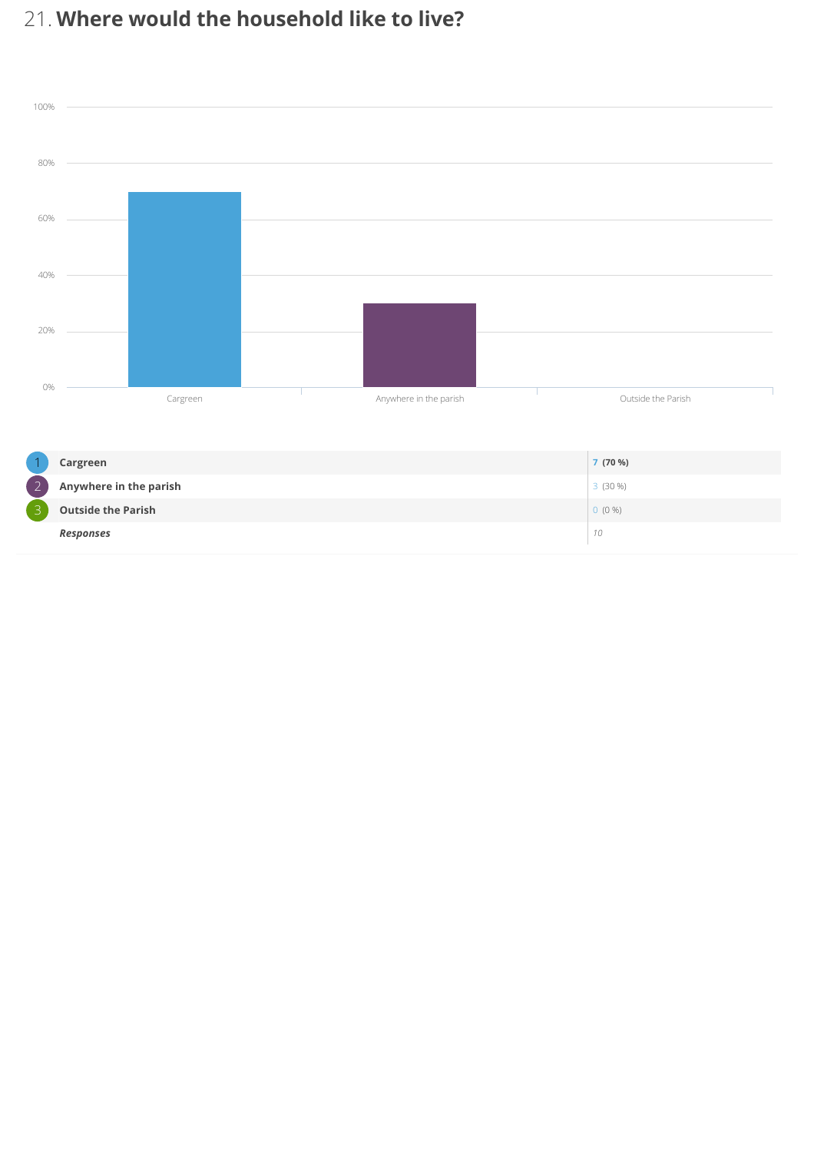## 21. Where would the household like to live?



|                                           | Cargreen                  | 7(70%)    |
|-------------------------------------------|---------------------------|-----------|
| $\overline{\phantom{0}}$<br>$\mathcal{L}$ | Anywhere in the parish    | $3(30\%)$ |
| ∽                                         | <b>Outside the Parish</b> | $0(0\%)$  |
|                                           | Responses                 | 10        |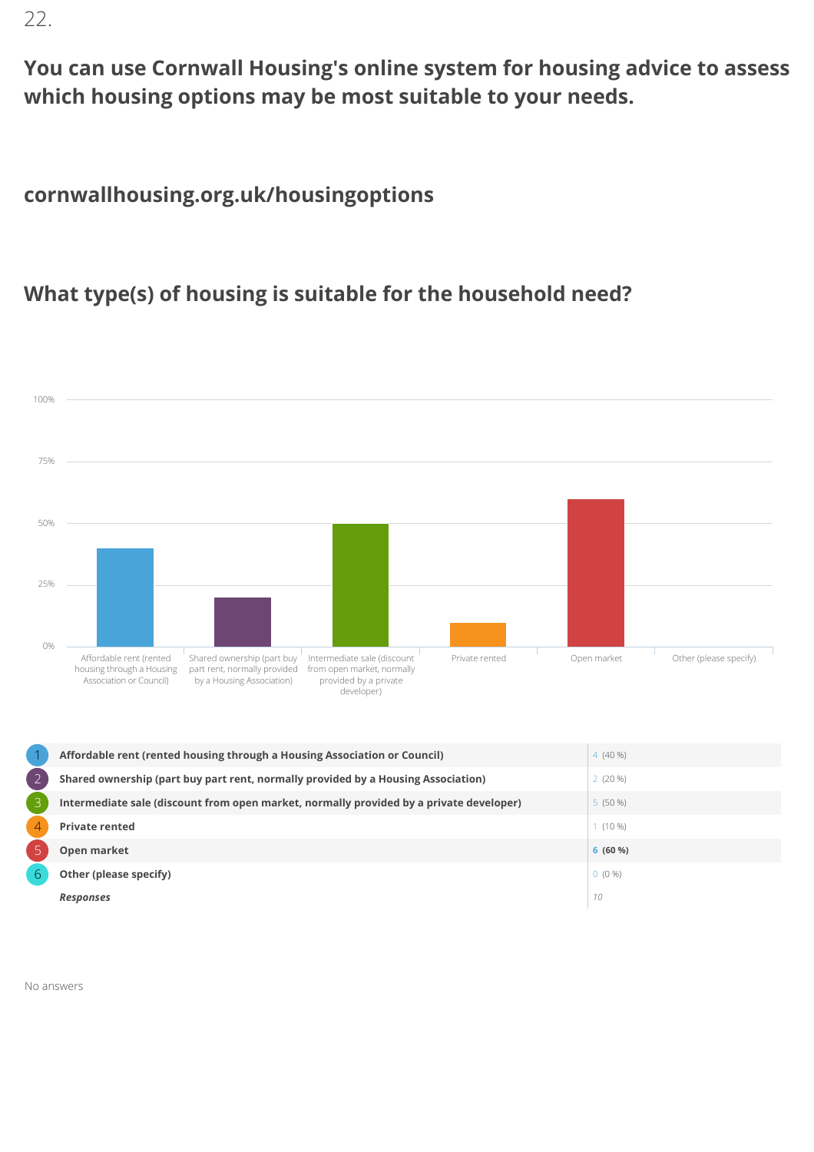22.

You can use Cornwall Housing's online system for housing advice to assess which housing options may be most suitable to your needs.

#### cornwallhousing.org.uk/housingoptions

#### What type(s) of housing is suitable for the household need?



No answers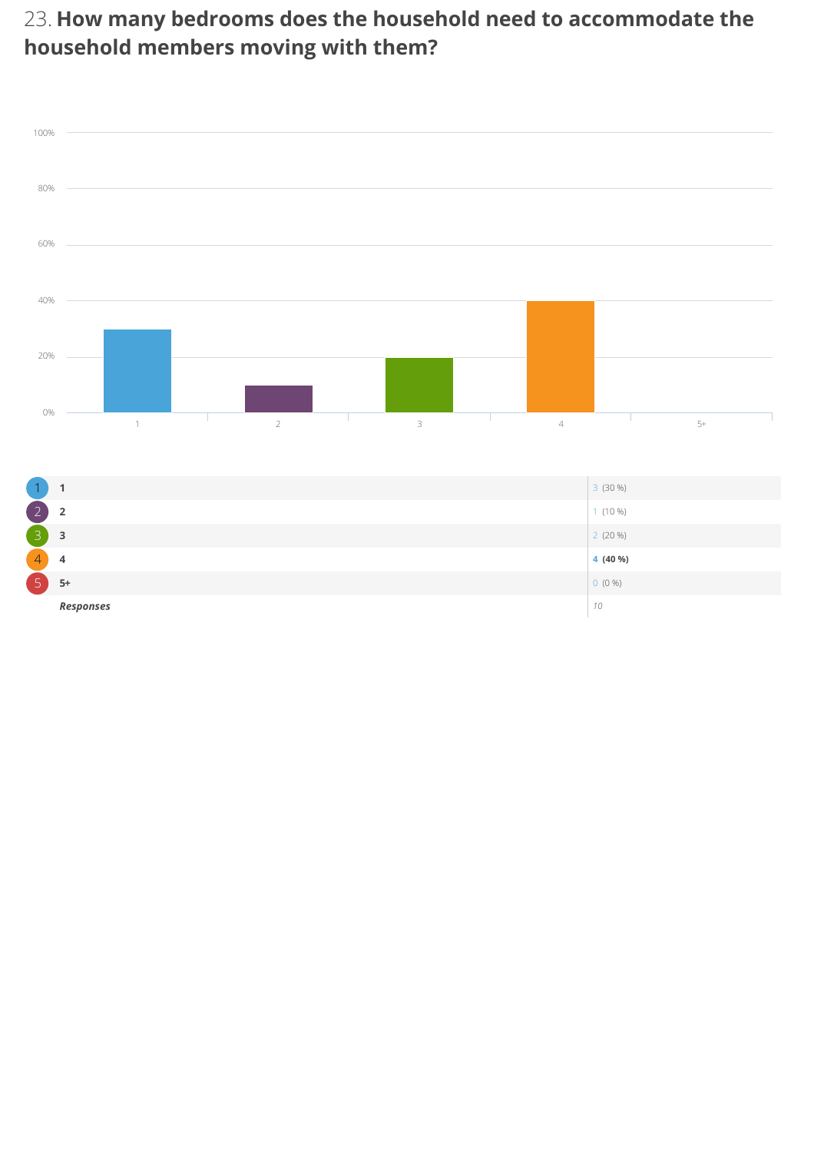#### 23. How many bedrooms does the household need to accommodate the household members moving with them?

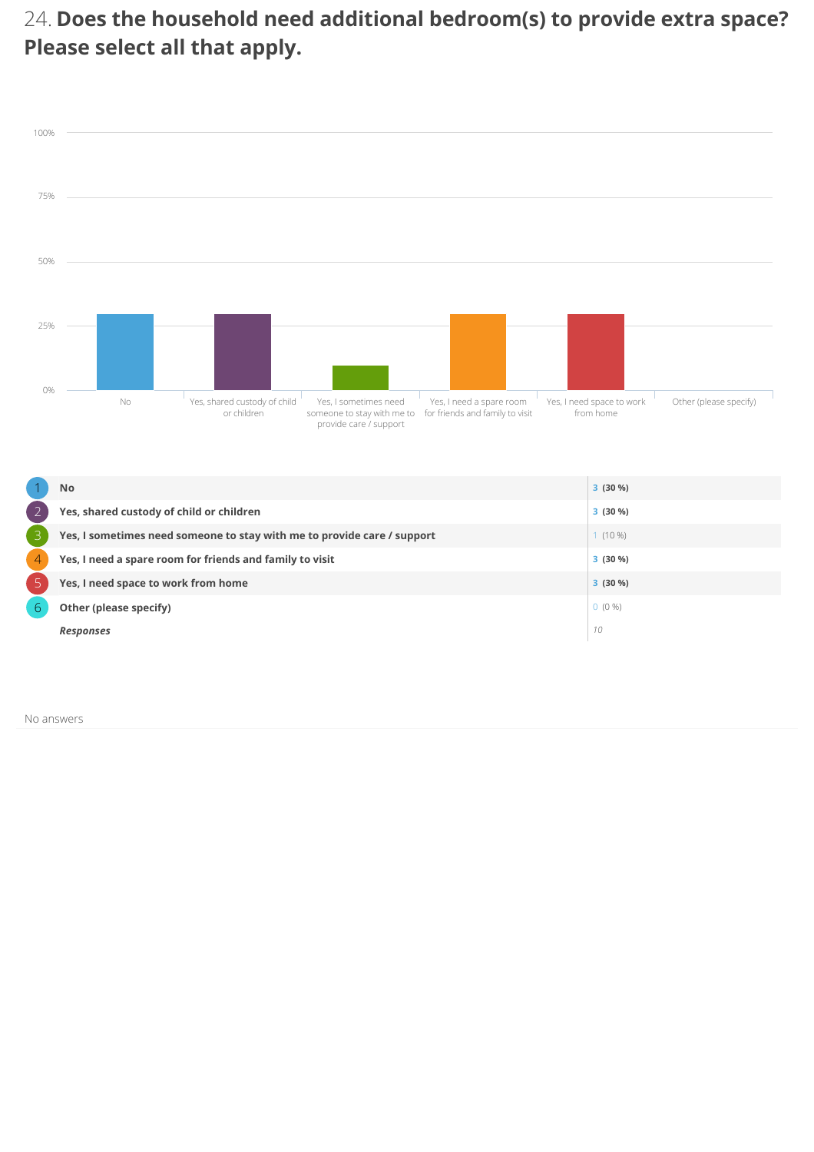#### 24. Does the household need additional bedroom(s) to provide extra space? Please select all that apply.



|   | <b>No</b>                                                               | $3(30\%)$ |
|---|-------------------------------------------------------------------------|-----------|
|   | Yes, shared custody of child or children                                | $3(30\%)$ |
|   | Yes, I sometimes need someone to stay with me to provide care / support | $(10\%)$  |
| 4 | Yes, I need a spare room for friends and family to visit                | $3(30\%)$ |
|   | Yes, I need space to work from home                                     | $3(30\%)$ |
| 6 | Other (please specify)                                                  | $0(0\%)$  |
|   | <b>Responses</b>                                                        | 10        |

No answers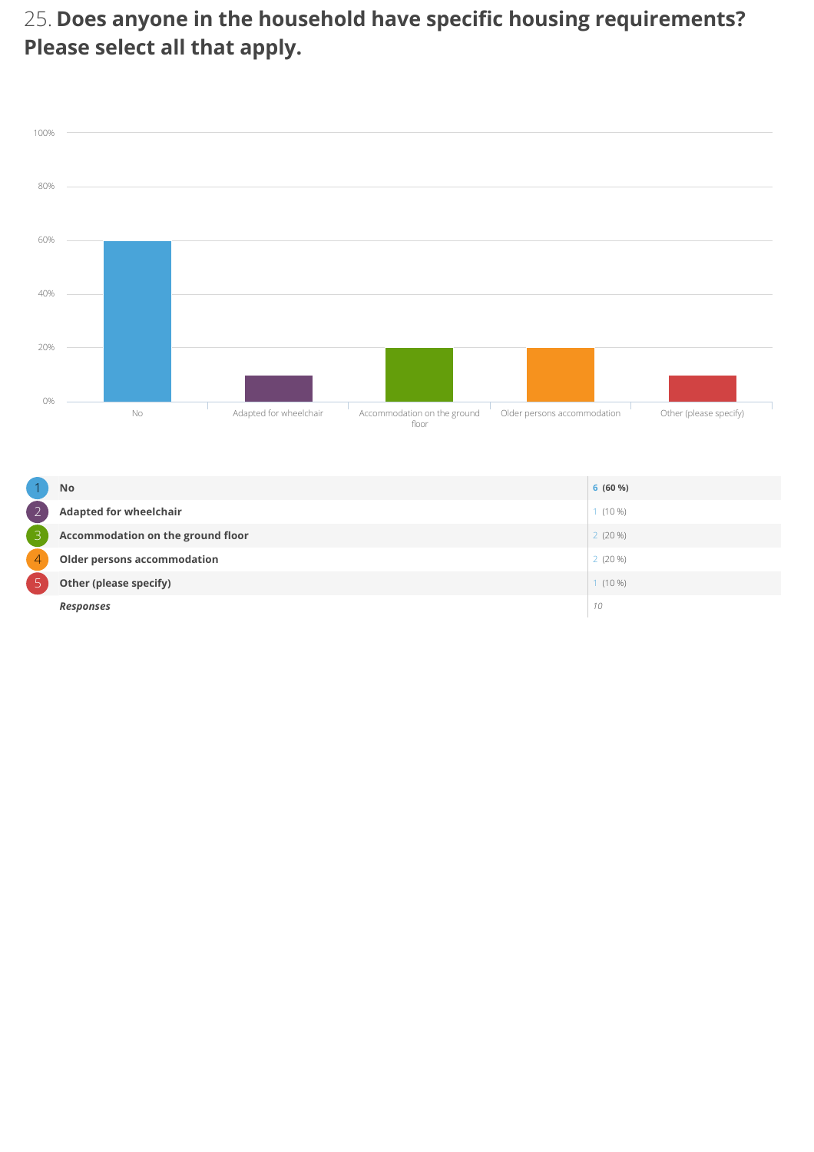#### 25. Does anyone in the household have specific housing requirements? Please select all that apply.



|                | <b>No</b>                         | 6(60%)    |
|----------------|-----------------------------------|-----------|
| $\overline{ }$ | <b>Adapted for wheelchair</b>     | $1(10\%)$ |
| В              | Accommodation on the ground floor | $2(20\%)$ |
| 4              | Older persons accommodation       | $2(20\%)$ |
|                | Other (please specify)            | $1(10\%)$ |
|                | <b>Responses</b>                  | 10        |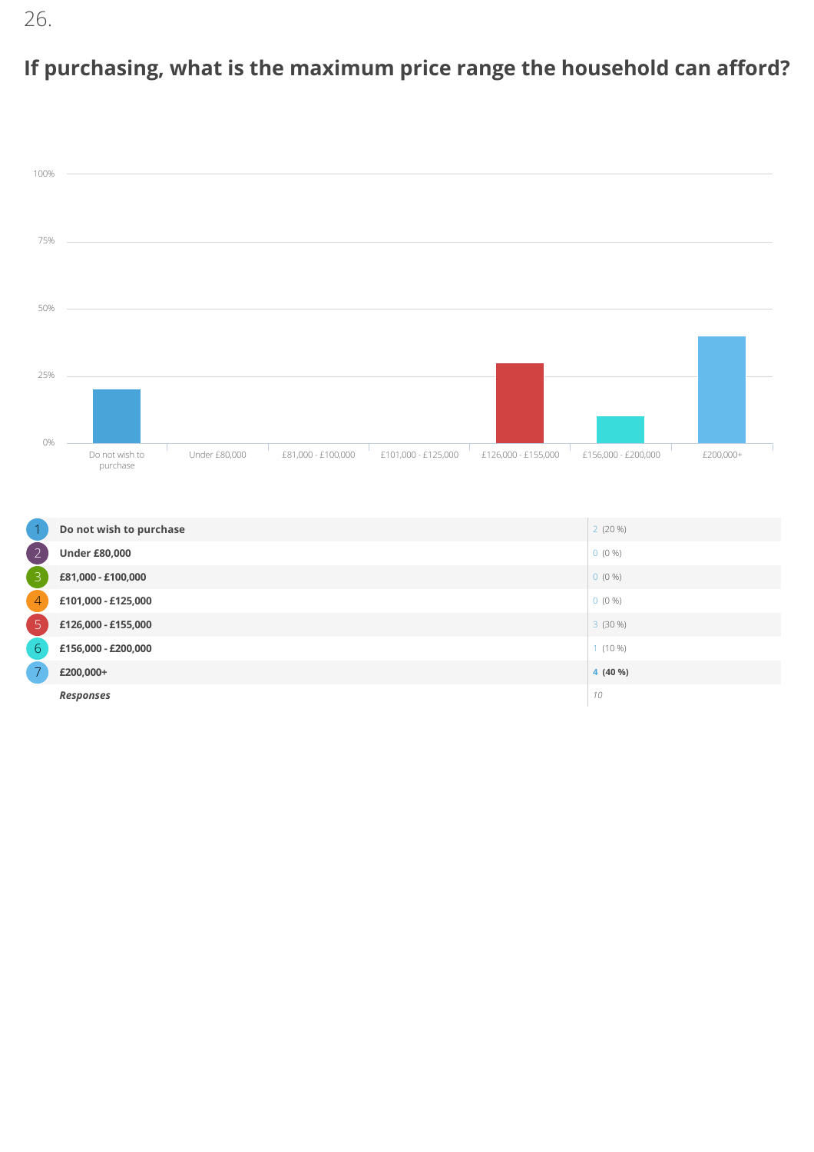# If purchasing, what is the maximum price range the household can afford?



|                | Do not wish to purchase | $2(20\%)$ |
|----------------|-------------------------|-----------|
| 2              | <b>Under £80,000</b>    | $0(0\%)$  |
| 3              | £81,000 - £100,000      | $0(0\%)$  |
| $\overline{4}$ | £101,000 - £125,000     | $0(0\%)$  |
| $\overline{5}$ | £126,000 - £155,000     | $3(30\%)$ |
| 6              | £156,000 - £200,000     | $1(10\%)$ |
|                | £200,000+               | 4 (40 %)  |
|                | <b>Responses</b>        | 10        |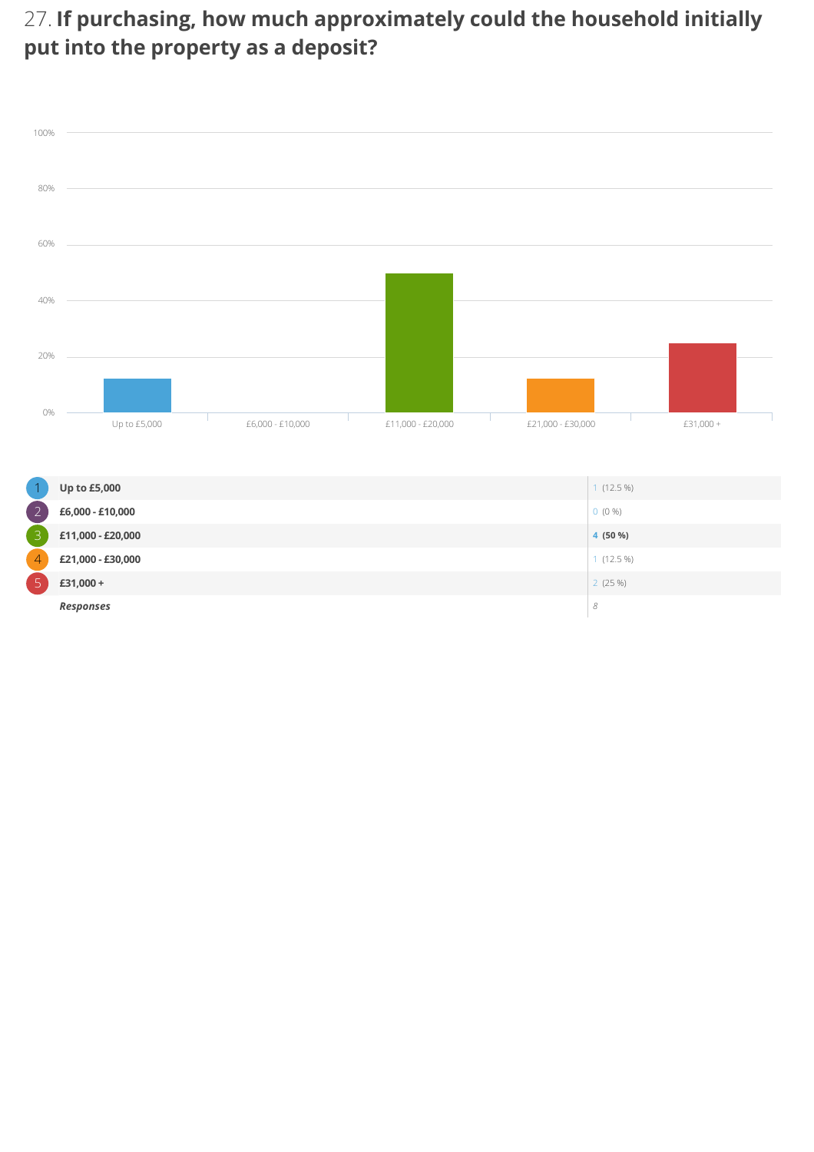#### 27. If purchasing, how much approximately could the household initially put into the property as a deposit?



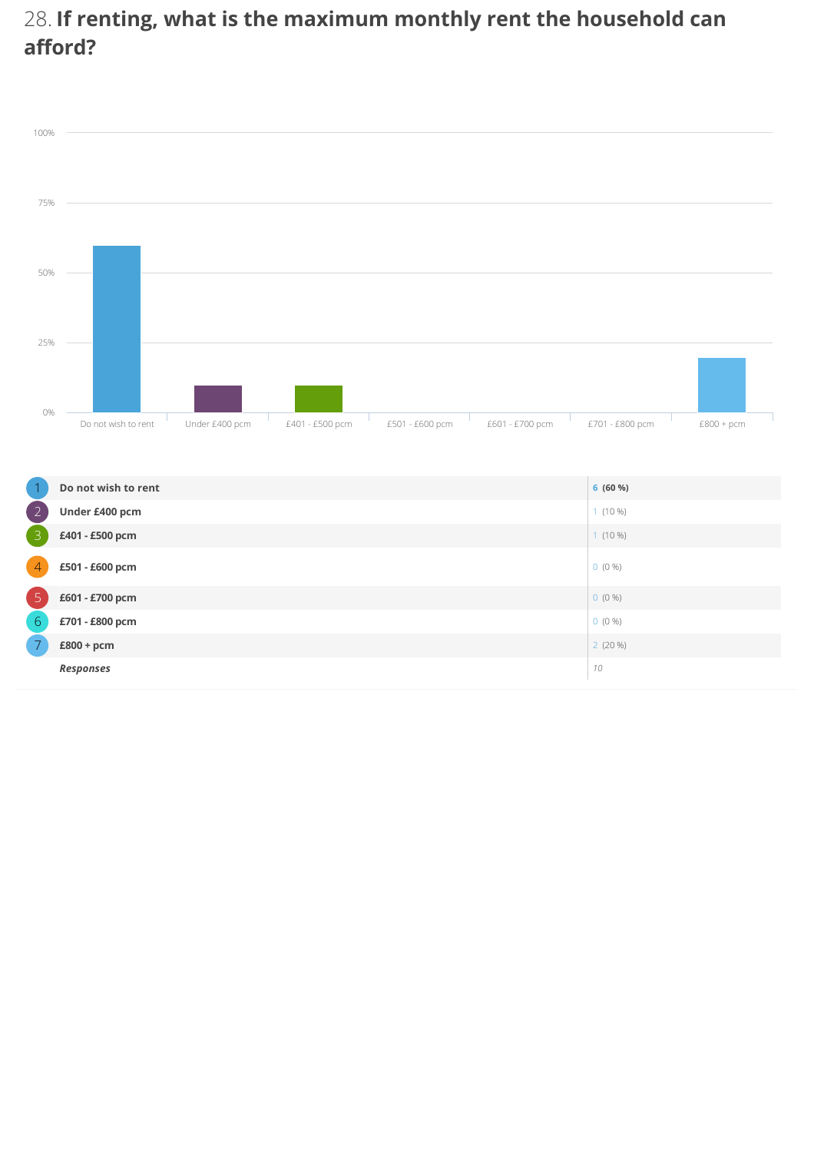#### 28. If renting, what is the maximum monthly rent the household can afford?



|                | Do not wish to rent | 6(60%)    |
|----------------|---------------------|-----------|
| $\overline{2}$ | Under £400 pcm      | $1(10\%)$ |
| $\overline{3}$ | £401 - £500 pcm     | $1(10\%)$ |
| 4              | £501 - £600 pcm     | $0(0\%)$  |
| 5              | £601 - £700 pcm     | $0(0\%)$  |
| 6              | £701 - £800 pcm     | $0(0\%)$  |
| $\overline{7}$ | £800 + pcm          | $2(20\%)$ |
|                | <b>Responses</b>    | 10        |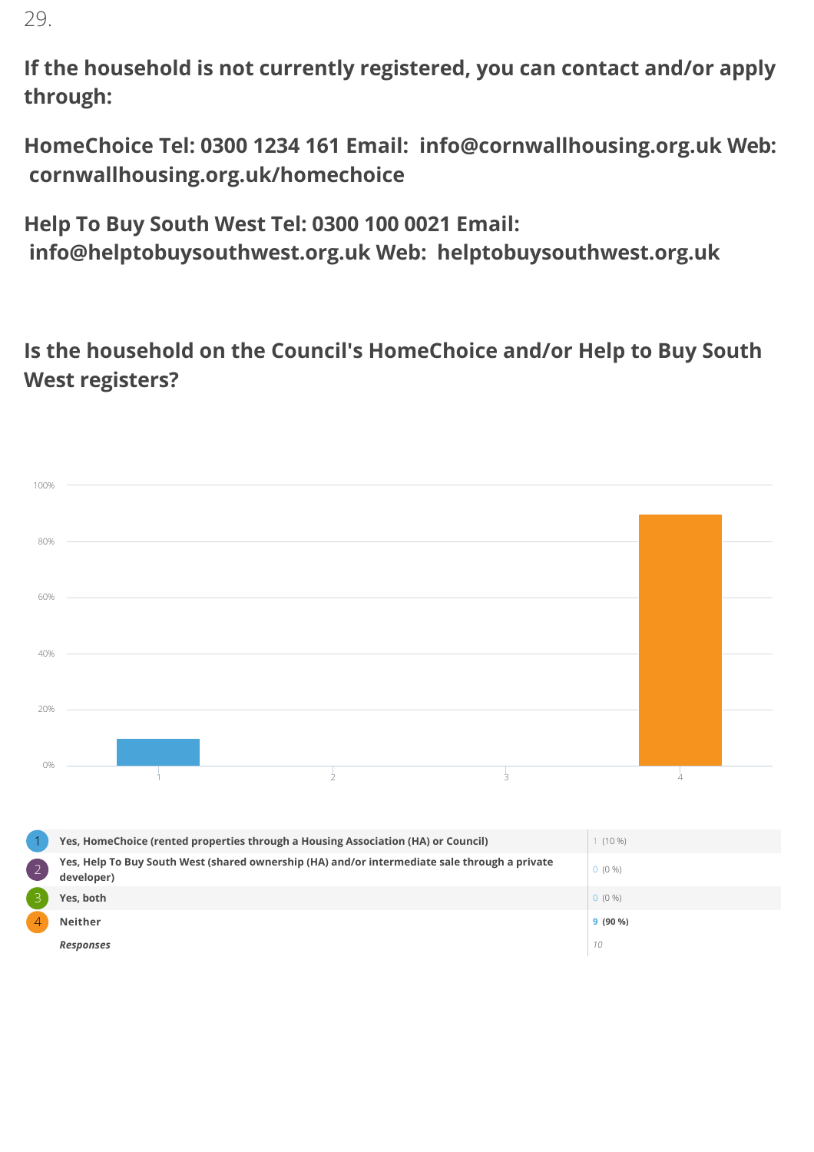29.

If the household is not currently registered, you can contact and/or apply through:

HomeChoice Tel: 0300 1234 161 Email: info@cornwallhousing.org.uk Web: cornwallhousing.org.uk/homechoice

Help To Buy South West Tel: 0300 100 0021 Email: info@helptobuysouthwest.org.uk Web: helptobuysouthwest.org.uk

Is the household on the Council's HomeChoice and/or Help to Buy South West registers?

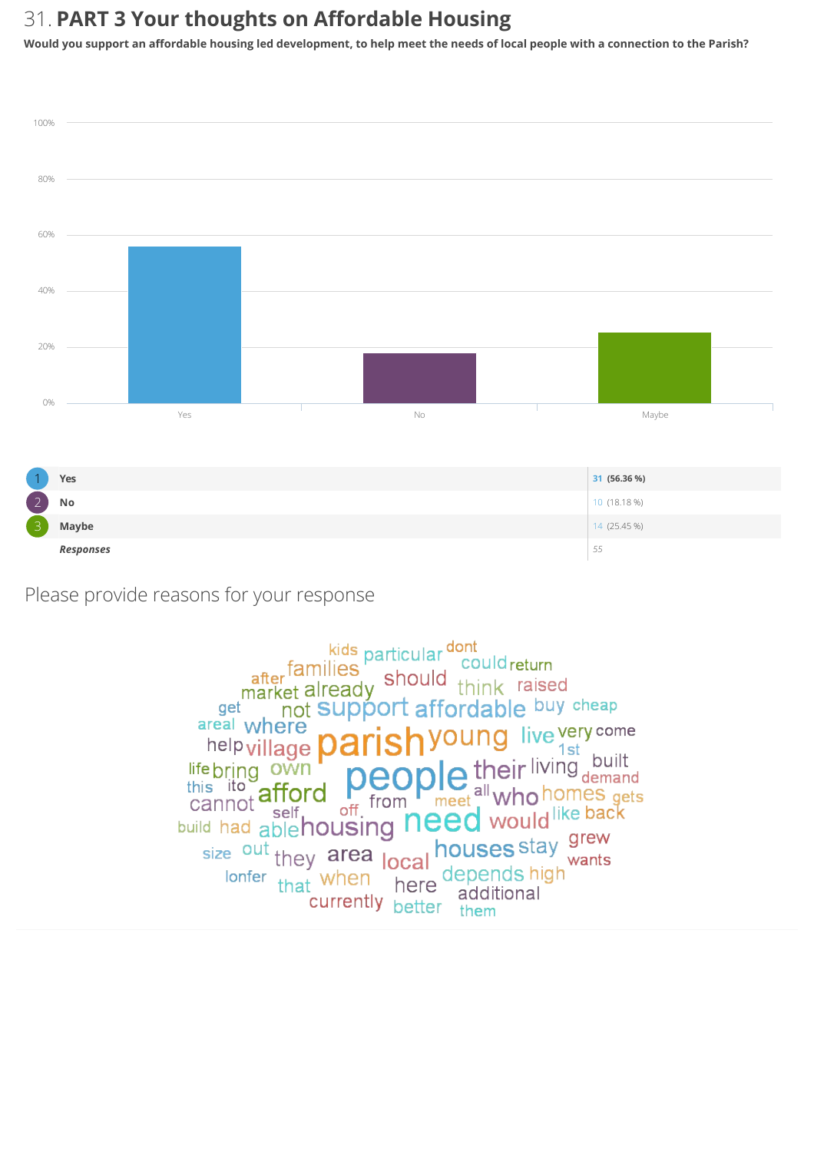#### 31. PART 3 Your thoughts on Affordable Housing

Would you support an affordable housing led development, to help meet the needs of local people with a connection to the Parish?



Please provide reasons for your response

kids particular dont<br>after families<br>market already should think raised not Support affordable buy cheap get young live very come areal where help village **Da** help village parts to their living built<br>this its afford people their living built<br>cannot afford of from meet all who homes gets<br>build had able housing need would like back<br>size out they area local houses stay wants 1st houses stay grew size out they area local wants lonfer that when here depends high additional currently better addit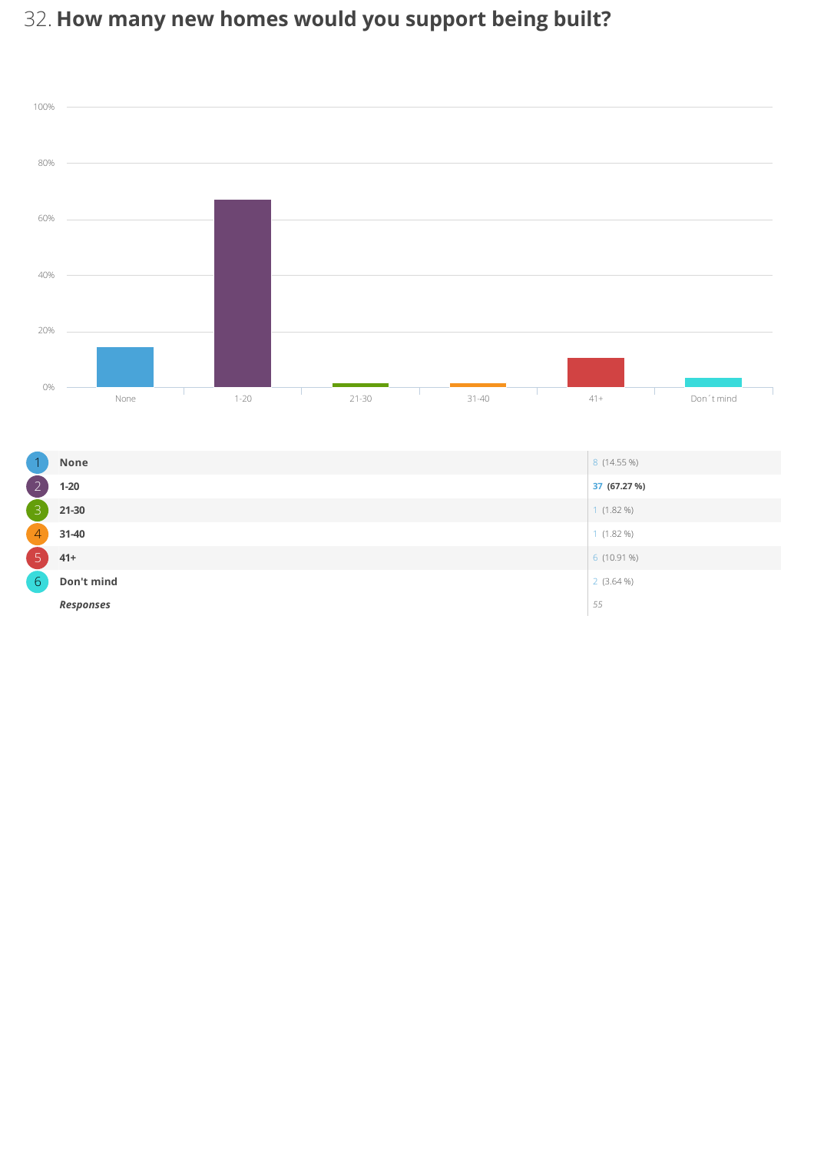# 32. How many new homes would you support being built?